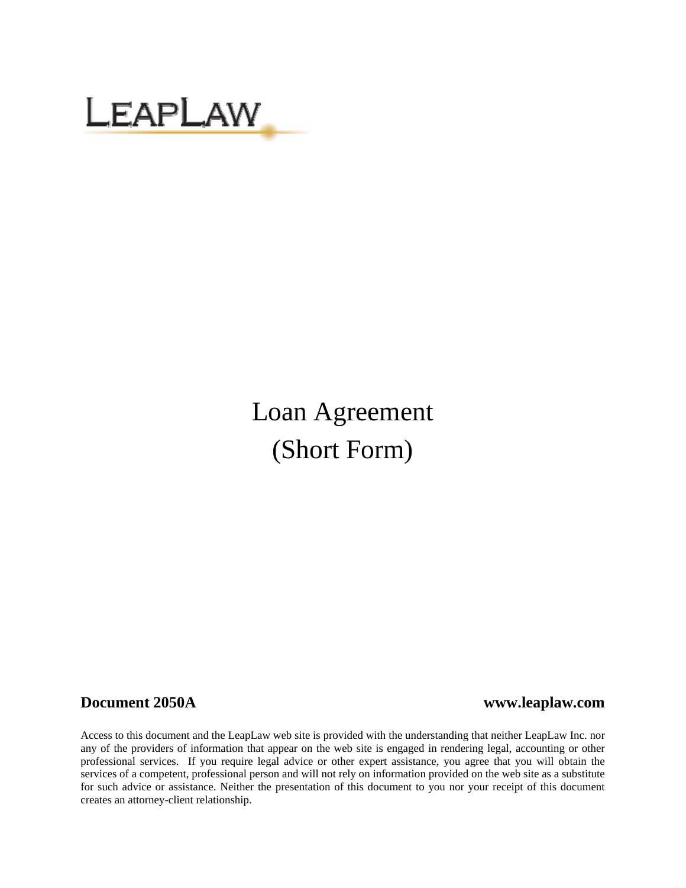

# Loan Agreement (Short Form)

#### **Document 2050A www.leaplaw.com**

Access to this document and the LeapLaw web site is provided with the understanding that neither LeapLaw Inc. nor any of the providers of information that appear on the web site is engaged in rendering legal, accounting or other professional services. If you require legal advice or other expert assistance, you agree that you will obtain the services of a competent, professional person and will not rely on information provided on the web site as a substitute for such advice or assistance. Neither the presentation of this document to you nor your receipt of this document creates an attorney-client relationship.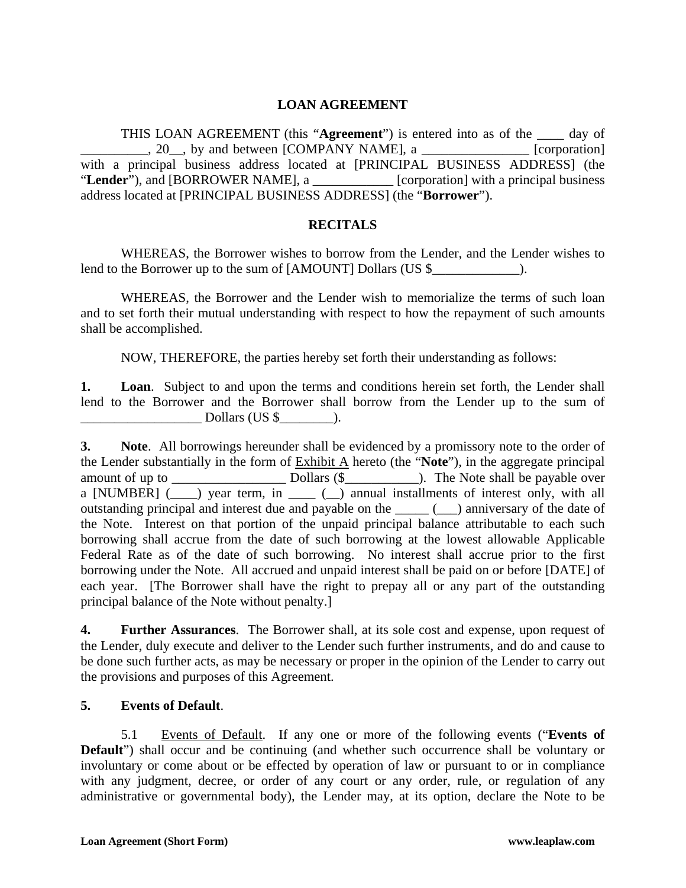### **LOAN AGREEMENT**

THIS LOAN AGREEMENT (this "**Agreement**") is entered into as of the \_\_\_\_ day of  $\Box$ , 20, by and between [COMPANY NAME], a  $\Box$  [corporation] with a principal business address located at [PRINCIPAL BUSINESS ADDRESS] (the "**Lender**"), and [BORROWER NAME], a \_\_\_\_\_\_\_\_\_\_\_\_ [corporation] with a principal business address located at [PRINCIPAL BUSINESS ADDRESS] (the "**Borrower**").

#### **RECITALS**

WHEREAS, the Borrower wishes to borrow from the Lender, and the Lender wishes to lend to the Borrower up to the sum of [AMOUNT] Dollars (US \$\_\_\_\_\_\_\_\_\_\_\_\_\_\_\_\_\_\_\_\_\_).

WHEREAS, the Borrower and the Lender wish to memorialize the terms of such loan and to set forth their mutual understanding with respect to how the repayment of such amounts shall be accomplished.

NOW, THEREFORE, the parties hereby set forth their understanding as follows:

**1. Loan**. Subject to and upon the terms and conditions herein set forth, the Lender shall lend to the Borrower and the Borrower shall borrow from the Lender up to the sum of  $Dollars (US \$ ).

**3. Note**. All borrowings hereunder shall be evidenced by a promissory note to the order of the Lender substantially in the form of Exhibit A hereto (the "**Note**"), in the aggregate principal amount of up to \_\_\_\_\_\_\_\_\_\_\_\_\_\_\_\_\_ Dollars (\$\_\_\_\_\_\_\_\_\_\_\_). The Note shall be payable over a [NUMBER]  $(\_\_\_\)$  year term, in  $(\_\_\_\)$  annual installments of interest only, with all outstanding principal and interest due and payable on the \_\_\_\_\_ (\_\_\_) anniversary of the date of the Note. Interest on that portion of the unpaid principal balance attributable to each such borrowing shall accrue from the date of such borrowing at the lowest allowable Applicable Federal Rate as of the date of such borrowing. No interest shall accrue prior to the first borrowing under the Note. All accrued and unpaid interest shall be paid on or before [DATE] of each year. [The Borrower shall have the right to prepay all or any part of the outstanding principal balance of the Note without penalty.]

**4. Further Assurances**. The Borrower shall, at its sole cost and expense, upon request of the Lender, duly execute and deliver to the Lender such further instruments, and do and cause to be done such further acts, as may be necessary or proper in the opinion of the Lender to carry out the provisions and purposes of this Agreement.

#### **5. Events of Default**.

5.1 Events of Default. If any one or more of the following events ("**Events of Default**") shall occur and be continuing (and whether such occurrence shall be voluntary or involuntary or come about or be effected by operation of law or pursuant to or in compliance with any judgment, decree, or order of any court or any order, rule, or regulation of any administrative or governmental body), the Lender may, at its option, declare the Note to be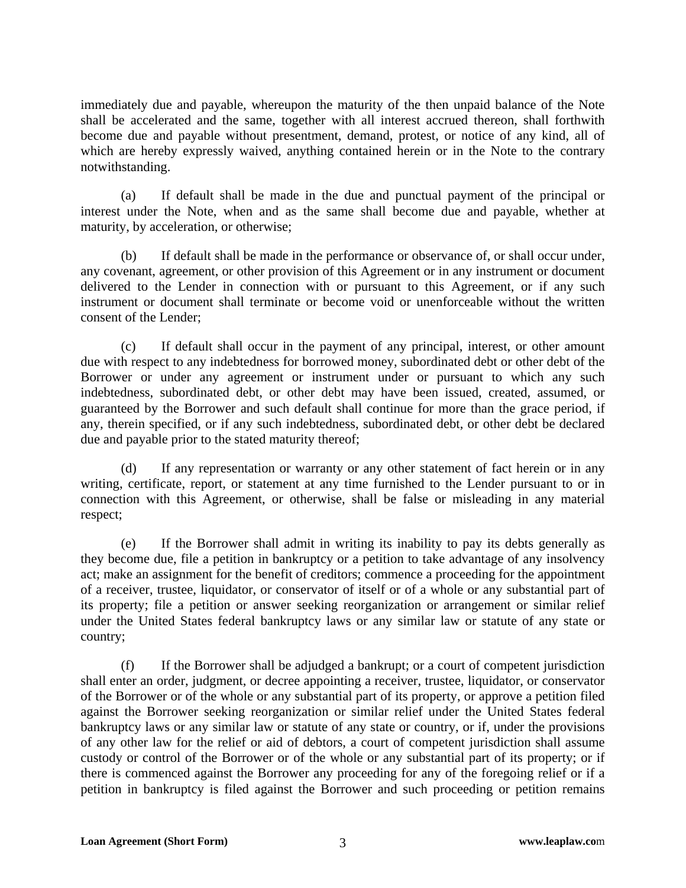immediately due and payable, whereupon the maturity of the then unpaid balance of the Note shall be accelerated and the same, together with all interest accrued thereon, shall forthwith become due and payable without presentment, demand, protest, or notice of any kind, all of which are hereby expressly waived, anything contained herein or in the Note to the contrary notwithstanding.

(a) If default shall be made in the due and punctual payment of the principal or interest under the Note, when and as the same shall become due and payable, whether at maturity, by acceleration, or otherwise;

(b) If default shall be made in the performance or observance of, or shall occur under, any covenant, agreement, or other provision of this Agreement or in any instrument or document delivered to the Lender in connection with or pursuant to this Agreement, or if any such instrument or document shall terminate or become void or unenforceable without the written consent of the Lender;

(c) If default shall occur in the payment of any principal, interest, or other amount due with respect to any indebtedness for borrowed money, subordinated debt or other debt of the Borrower or under any agreement or instrument under or pursuant to which any such indebtedness, subordinated debt, or other debt may have been issued, created, assumed, or guaranteed by the Borrower and such default shall continue for more than the grace period, if any, therein specified, or if any such indebtedness, subordinated debt, or other debt be declared due and payable prior to the stated maturity thereof;

(d) If any representation or warranty or any other statement of fact herein or in any writing, certificate, report, or statement at any time furnished to the Lender pursuant to or in connection with this Agreement, or otherwise, shall be false or misleading in any material respect;

(e) If the Borrower shall admit in writing its inability to pay its debts generally as they become due, file a petition in bankruptcy or a petition to take advantage of any insolvency act; make an assignment for the benefit of creditors; commence a proceeding for the appointment of a receiver, trustee, liquidator, or conservator of itself or of a whole or any substantial part of its property; file a petition or answer seeking reorganization or arrangement or similar relief under the United States federal bankruptcy laws or any similar law or statute of any state or country;

(f) If the Borrower shall be adjudged a bankrupt; or a court of competent jurisdiction shall enter an order, judgment, or decree appointing a receiver, trustee, liquidator, or conservator of the Borrower or of the whole or any substantial part of its property, or approve a petition filed against the Borrower seeking reorganization or similar relief under the United States federal bankruptcy laws or any similar law or statute of any state or country, or if, under the provisions of any other law for the relief or aid of debtors, a court of competent jurisdiction shall assume custody or control of the Borrower or of the whole or any substantial part of its property; or if there is commenced against the Borrower any proceeding for any of the foregoing relief or if a petition in bankruptcy is filed against the Borrower and such proceeding or petition remains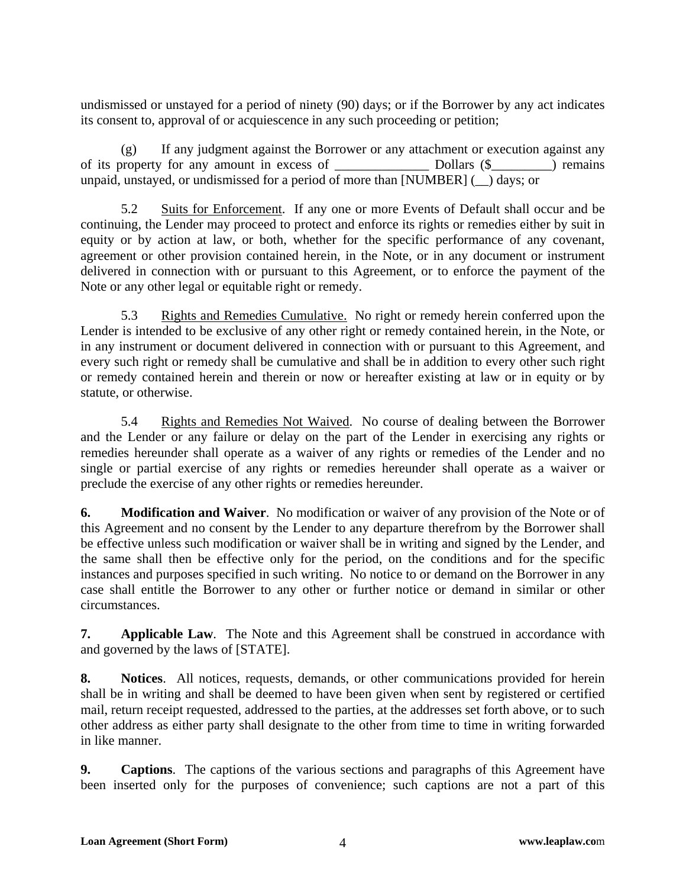undismissed or unstayed for a period of ninety (90) days; or if the Borrower by any act indicates its consent to, approval of or acquiescence in any such proceeding or petition;

(g) If any judgment against the Borrower or any attachment or execution against any of its property for any amount in excess of Dollars (\$  $\Box$ ) remains unpaid, unstayed, or undismissed for a period of more than [NUMBER] (\_\_) days; or

5.2 Suits for Enforcement. If any one or more Events of Default shall occur and be continuing, the Lender may proceed to protect and enforce its rights or remedies either by suit in equity or by action at law, or both, whether for the specific performance of any covenant, agreement or other provision contained herein, in the Note, or in any document or instrument delivered in connection with or pursuant to this Agreement, or to enforce the payment of the Note or any other legal or equitable right or remedy.

5.3 Rights and Remedies Cumulative. No right or remedy herein conferred upon the Lender is intended to be exclusive of any other right or remedy contained herein, in the Note, or in any instrument or document delivered in connection with or pursuant to this Agreement, and every such right or remedy shall be cumulative and shall be in addition to every other such right or remedy contained herein and therein or now or hereafter existing at law or in equity or by statute, or otherwise.

5.4 Rights and Remedies Not Waived. No course of dealing between the Borrower and the Lender or any failure or delay on the part of the Lender in exercising any rights or remedies hereunder shall operate as a waiver of any rights or remedies of the Lender and no single or partial exercise of any rights or remedies hereunder shall operate as a waiver or preclude the exercise of any other rights or remedies hereunder.

**6. Modification and Waiver**. No modification or waiver of any provision of the Note or of this Agreement and no consent by the Lender to any departure therefrom by the Borrower shall be effective unless such modification or waiver shall be in writing and signed by the Lender, and the same shall then be effective only for the period, on the conditions and for the specific instances and purposes specified in such writing. No notice to or demand on the Borrower in any case shall entitle the Borrower to any other or further notice or demand in similar or other circumstances.

**7. Applicable Law**. The Note and this Agreement shall be construed in accordance with and governed by the laws of [STATE].

**8. Notices**. All notices, requests, demands, or other communications provided for herein shall be in writing and shall be deemed to have been given when sent by registered or certified mail, return receipt requested, addressed to the parties, at the addresses set forth above, or to such other address as either party shall designate to the other from time to time in writing forwarded in like manner.

**9. Captions**. The captions of the various sections and paragraphs of this Agreement have been inserted only for the purposes of convenience; such captions are not a part of this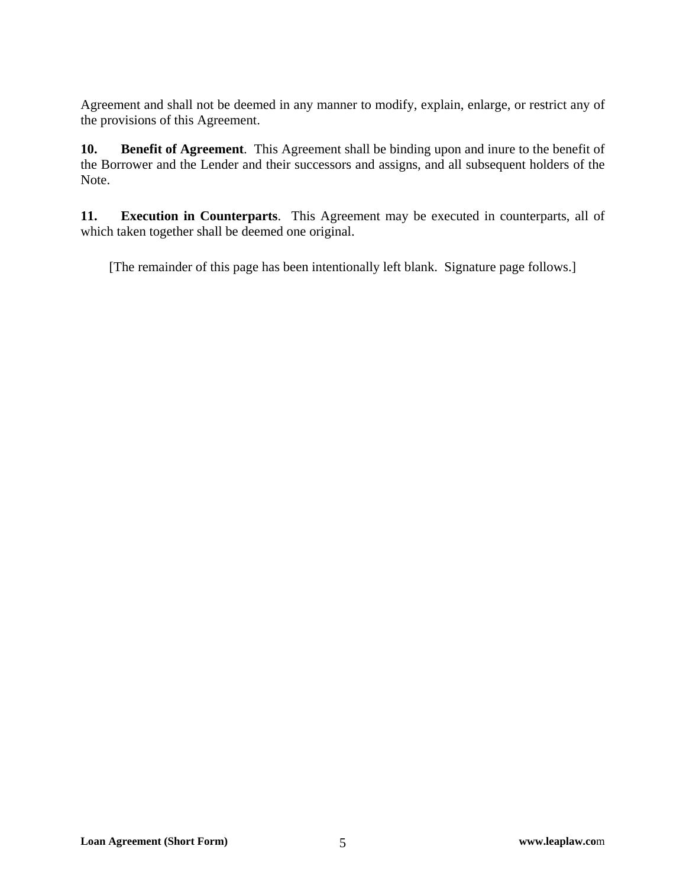Agreement and shall not be deemed in any manner to modify, explain, enlarge, or restrict any of the provisions of this Agreement.

**10. Benefit of Agreement**. This Agreement shall be binding upon and inure to the benefit of the Borrower and the Lender and their successors and assigns, and all subsequent holders of the Note.

**11. Execution in Counterparts**. This Agreement may be executed in counterparts, all of which taken together shall be deemed one original.

[The remainder of this page has been intentionally left blank. Signature page follows.]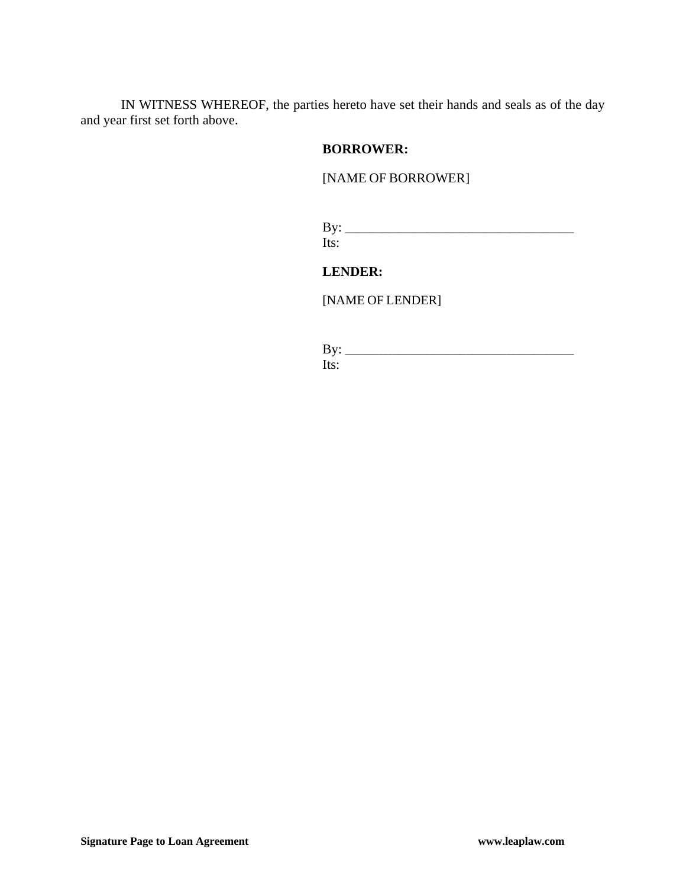IN WITNESS WHEREOF, the parties hereto have set their hands and seals as of the day and year first set forth above.

#### **BORROWER:**

#### [NAME OF BORROWER]

By: \_\_\_\_\_\_\_\_\_\_\_\_\_\_\_\_\_\_\_\_\_\_\_\_\_\_\_\_\_\_\_\_\_\_ Its:

**LENDER:** 

[NAME OF LENDER]

By: \_\_\_\_\_\_\_\_\_\_\_\_\_\_\_\_\_\_\_\_\_\_\_\_\_\_\_\_\_\_\_\_\_\_ Its: